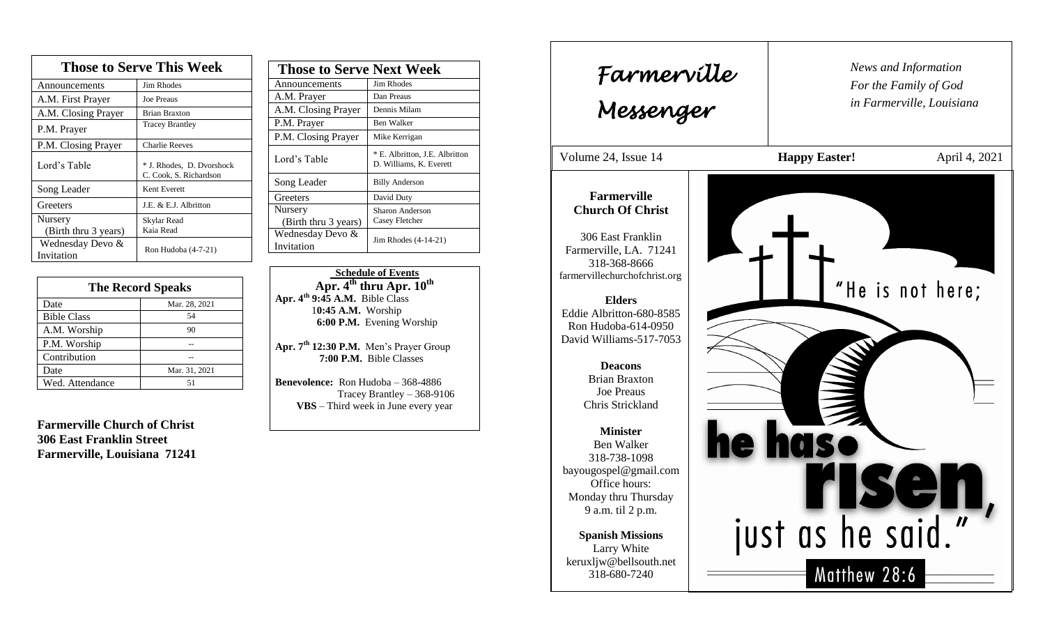| <b>Those to Serve This Week</b> |                                                     |  |
|---------------------------------|-----------------------------------------------------|--|
| Announcements                   | <b>Jim Rhodes</b>                                   |  |
| A.M. First Prayer               | <b>Joe Preaus</b>                                   |  |
| A.M. Closing Prayer             | <b>Brian Braxton</b>                                |  |
| P.M. Prayer                     | <b>Tracey Brantley</b>                              |  |
| P.M. Closing Prayer             | <b>Charlie Reeves</b>                               |  |
| Lord's Table                    | * J. Rhodes, D. Dvorshock<br>C. Cook, S. Richardson |  |
| Song Leader                     | Kent Everett                                        |  |
| Greeters                        | J.E. & E.J. Albritton                               |  |
| Nursery                         | Skylar Read                                         |  |
| (Birth thru 3 years)            | Kaia Read                                           |  |
| Wednesday Devo &<br>Invitation  | Ron Hudoba (4-7-21)                                 |  |

| <b>The Record Speaks</b> |               |
|--------------------------|---------------|
| Date                     | Mar. 28, 2021 |
| <b>Bible Class</b>       | 54            |
| A.M. Worship             | 90            |
| P.M. Worship             |               |
| Contribution             |               |
| Date                     | Mar. 31, 2021 |
| Wed. Attendance          |               |

**Farmerville Church of Christ 306 East Franklin Street Farmerville, Louisiana 71241**

| <b>Those to Serve Next Week</b> |                                                           |
|---------------------------------|-----------------------------------------------------------|
| Announcements                   | Jim Rhodes                                                |
| A.M. Prayer                     | Dan Preaus                                                |
| A.M. Closing Prayer             | Dennis Milam                                              |
| P.M. Prayer                     | Ben Walker                                                |
| P.M. Closing Prayer             | Mike Kerrigan                                             |
| Lord's Table                    | * E. Albritton, J.E. Albritton<br>D. Williams, K. Everett |
| Song Leader                     | <b>Billy Anderson</b>                                     |
| Greeters                        | David Duty                                                |
| Nursery<br>(Birth thru 3 years) | Sharon Anderson<br>Casey Fletcher                         |
| Wednesday Devo &<br>Invitation  | Jim Rhodes (4-14-21)                                      |

 **Schedule of Events**  $\overline{APr}$ ,  $4^{th}$  thru Apr.  $10^{th}$ **Apr. 4th 9:45 A.M.** Bible Class 1**0:45 A.M.** Worship  **6:00 P.M.** Evening Worship

**Apr. 7th 12:30 P.M.** Men's Prayer Group **7:00 P.M.** Bible Classes

**Benevolence:** Ron Hudoba – 368-4886 Tracey Brantley – 368-9106 **VBS** – Third week in June every year